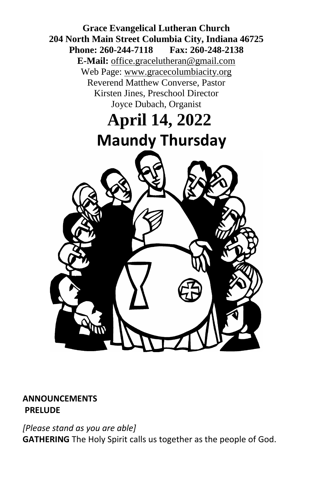

#### **ANNOUNCEMENTS PRELUDE**

*[Please stand as you are able]* **GATHERING** The Holy Spirit calls us together as the people of God.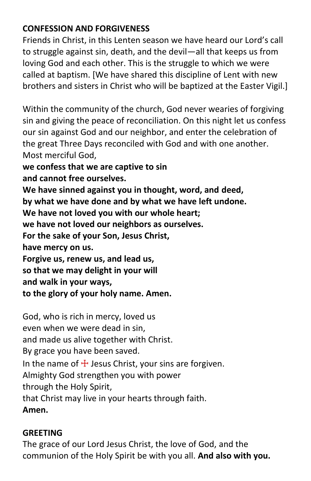# **CONFESSION AND FORGIVENESS**

Friends in Christ, in this Lenten season we have heard our Lord's call to struggle against sin, death, and the devil—all that keeps us from loving God and each other. This is the struggle to which we were called at baptism. [We have shared this discipline of Lent with new brothers and sisters in Christ who will be baptized at the Easter Vigil.]

Within the community of the church, God never wearies of forgiving sin and giving the peace of reconciliation. On this night let us confess our sin against God and our neighbor, and enter the celebration of the great Three Days reconciled with God and with one another. Most merciful God,

**we confess that we are captive to sin**

**and cannot free ourselves.**

**We have sinned against you in thought, word, and deed,**

**by what we have done and by what we have left undone.**

**We have not loved you with our whole heart;**

**we have not loved our neighbors as ourselves.**

**For the sake of your Son, Jesus Christ,**

**have mercy on us.**

**Forgive us, renew us, and lead us,**

**so that we may delight in your will**

**and walk in your ways,**

**to the glory of your holy name. Amen.**

God, who is rich in mercy, loved us

even when we were dead in sin,

and made us alive together with Christ.

By grace you have been saved.

In the name of  $\pm$  Jesus Christ, your sins are forgiven.

Almighty God strengthen you with power

through the Holy Spirit,

that Christ may live in your hearts through faith.

**Amen.**

## **GREETING**

The grace of our Lord Jesus Christ, the love of God, and the communion of the Holy Spirit be with you all. **And also with you.**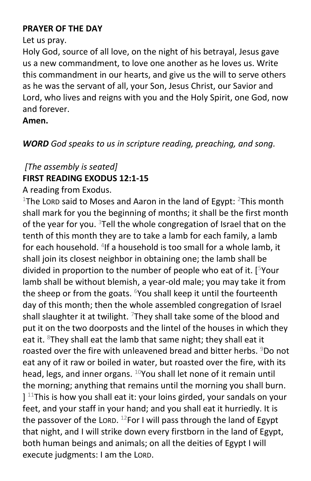#### **PRAYER OF THE DAY**

Let us pray.

Holy God, source of all love, on the night of his betrayal, Jesus gave us a new commandment, to love one another as he loves us. Write this commandment in our hearts, and give us the will to serve others as he was the servant of all, your Son, Jesus Christ, our Savior and Lord, who lives and reigns with you and the Holy Spirit, one God, now and forever.

## **Amen.**

*WORD God speaks to us in scripture reading, preaching, and song.*

## *[The assembly is seated]* **FIRST READING EXODUS 12:1-15**

A reading from Exodus.

<sup>1</sup>The Lorp said to Moses and Aaron in the land of Egypt: <sup>2</sup>This month shall mark for you the beginning of months; it shall be the first month of the year for you. <sup>3</sup>Tell the whole congregation of Israel that on the tenth of this month they are to take a lamb for each family, a lamb for each household. <sup>4</sup>If a household is too small for a whole lamb, it shall join its closest neighbor in obtaining one; the lamb shall be divided in proportion to the number of people who eat of it.  $[5$ Your lamb shall be without blemish, a year-old male; you may take it from the sheep or from the goats.  $6$ You shall keep it until the fourteenth day of this month; then the whole assembled congregation of Israel shall slaughter it at twilight.  $7$ They shall take some of the blood and put it on the two doorposts and the lintel of the houses in which they eat it.  ${}^{8}$ They shall eat the lamb that same night; they shall eat it roasted over the fire with unleavened bread and bitter herbs. <sup>9</sup>Do not eat any of it raw or boiled in water, but roasted over the fire, with its head, legs, and inner organs.  $10$ You shall let none of it remain until the morning; anything that remains until the morning you shall burn.  $]$ <sup>11</sup>This is how you shall eat it: your loins girded, your sandals on your feet, and your staff in your hand; and you shall eat it hurriedly. It is the passover of the LORD.  $^{12}$ For I will pass through the land of Egypt that night, and I will strike down every firstborn in the land of Egypt, both human beings and animals; on all the deities of Egypt I will execute judgments: I am the LORD.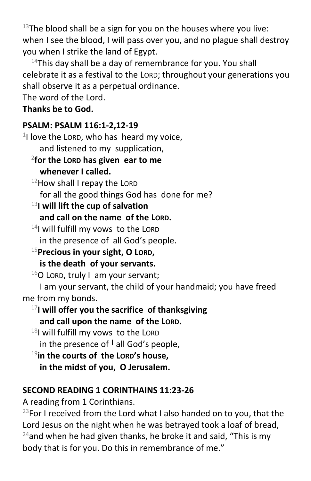$13$ The blood shall be a sign for you on the houses where you live: when I see the blood, I will pass over you, and no plague shall destroy you when I strike the land of Egypt.

 $14$ This day shall be a day of remembrance for you. You shall celebrate it as a festival to the LORD; throughout your generations you shall observe it as a perpetual ordinance.

The word of the Lord.

## **Thanks be to God.**

## **PSALM: PSALM 116:1-2,12-19**

 $1$ I love the LORD, who has heard my voice, and listened to my supplication, 2 **for the LORD has given ear to me whenever I called.** 12How shall I repay the LORD for all the good things God has done for me? <sup>13</sup>**I will lift the cup of salvation and call on the name of the LORD.**  $14$ I will fulfill my vows to the LORD in the presence of all God's people. <sup>15</sup>**Precious in your sight, O LORD, is the death of your servants.**  $16$ O LORD, truly I am your servant;

I am your servant, the child of your handmaid; you have freed me from my bonds.

## <sup>17</sup>**I will offer you the sacrifice of thanksgiving and call upon the name of the LORD.**

 $18$ I will fulfill my vows to the LORD in the presence of **<sup>|</sup>** all God's people,

<sup>19</sup>**in the courts of the LORD's house, in the midst of you, O Jerusalem.**

# **SECOND READING 1 CORINTHAINS 11:23-26**

A reading from 1 Corinthians.

<sup>23</sup>For I received from the Lord what I also handed on to you, that the Lord Jesus on the night when he was betrayed took a loaf of bread,  $24$ and when he had given thanks, he broke it and said, "This is my body that is for you. Do this in remembrance of me."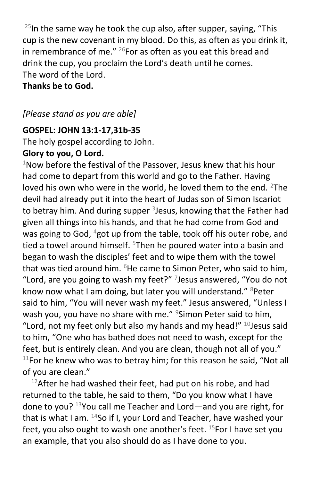<sup>25</sup>In the same way he took the cup also, after supper, saying, "This cup is the new covenant in my blood. Do this, as often as you drink it, in remembrance of me."  $^{26}$ For as often as you eat this bread and drink the cup, you proclaim the Lord's death until he comes. The word of the Lord.

**Thanks be to God.**

## *[Please stand as you are able]*

#### **GOSPEL: JOHN 13:1-17,31b-35**

The holy gospel according to John.

#### **Glory to you, O Lord.**

 $1$ Now before the festival of the Passover, Jesus knew that his hour had come to depart from this world and go to the Father. Having loved his own who were in the world, he loved them to the end.  $2$ The devil had already put it into the heart of Judas son of Simon Iscariot to betray him. And during supper <sup>3</sup>Jesus, knowing that the Father had given all things into his hands, and that he had come from God and was going to God,  $4$ got up from the table, took off his outer robe, and tied a towel around himself. <sup>5</sup>Then he poured water into a basin and began to wash the disciples' feet and to wipe them with the towel that was tied around him.  $6$ He came to Simon Peter, who said to him, "Lord, are you going to wash my feet?" <sup>7</sup>Jesus answered, "You do not know now what I am doing, but later you will understand."  $8$ Peter said to him, "You will never wash my feet." Jesus answered, "Unless I wash you, you have no share with me."  $9$ Simon Peter said to him, "Lord, not my feet only but also my hands and my head!"  $^{10}$  Jesus said to him, "One who has bathed does not need to wash, except for the feet, but is entirely clean. And you are clean, though not all of you."  $11$ For he knew who was to betray him; for this reason he said, "Not all of you are clean."

 $12$ After he had washed their feet, had put on his robe, and had returned to the table, he said to them, "Do you know what I have done to you? <sup>13</sup>You call me Teacher and Lord—and you are right, for that is what I am.  $14$ So if I, your Lord and Teacher, have washed your feet, you also ought to wash one another's feet.  $15$  For I have set you an example, that you also should do as I have done to you.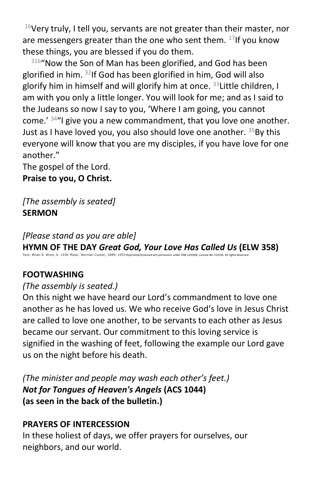$16$ Very truly, I tell you, servants are not greater than their master, nor are messengers greater than the one who sent them.  $17$ If you know these things, you are blessed if you do them.

31b"Now the Son of Man has been glorified, and God has been glorified in him. <sup>32</sup>If God has been glorified in him, God will also glorify him in himself and will glorify him at once.  $33$  Little children, I am with you only a little longer. You will look for me; and as I said to the Judeans so now I say to you, 'Where I am going, you cannot come.'  $34$ "I give you a new commandment, that you love one another. Just as I have loved you, you also should love one another.  $35$ By this everyone will know that you are my disciples, if you have love for one another."

The gospel of the Lord.

**Praise to you, O Christ.**

*[The assembly is seated]* **SERMON**

*[Please stand as you are able]*

**HYMN OF THE DAY** *Great God, Your Love Has Called Us* **(ELW 358)** Text: Brian A. Wren, b. 1936 Music: Norman Cocker, 1889–1953 Reprinted/streamed will permission under ONE LICENSE, License #A-723136. All rights Reserved.

# **FOOTWASHING**

#### *(The assembly is seated.)*

On this night we have heard our Lord's commandment to love one another as he has loved us. We who receive God's love in Jesus Christ are called to love one another, to be servants to each other as Jesus became our servant. Our commitment to this loving service is signified in the washing of feet, following the example our Lord gave us on the night before his death.

*(The minister and people may wash each other's feet.) Not for Tongues of Heaven's Angels* **(ACS 1044) (as seen in the back of the bulletin.)**

## **PRAYERS OF INTERCESSION**

In these holiest of days, we offer prayers for ourselves, our neighbors, and our world.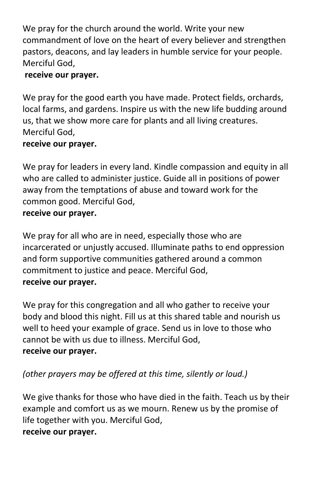We pray for the church around the world. Write your new commandment of love on the heart of every believer and strengthen pastors, deacons, and lay leaders in humble service for your people. Merciful God,

## **receive our prayer.**

We pray for the good earth you have made. Protect fields, orchards, local farms, and gardens. Inspire us with the new life budding around us, that we show more care for plants and all living creatures. Merciful God,

## **receive our prayer.**

We pray for leaders in every land. Kindle compassion and equity in all who are called to administer justice. Guide all in positions of power away from the temptations of abuse and toward work for the common good. Merciful God, **receive our prayer.**

We pray for all who are in need, especially those who are incarcerated or unjustly accused. Illuminate paths to end oppression and form supportive communities gathered around a common commitment to justice and peace. Merciful God, **receive our prayer.**

We pray for this congregation and all who gather to receive your body and blood this night. Fill us at this shared table and nourish us well to heed your example of grace. Send us in love to those who cannot be with us due to illness. Merciful God, **receive our prayer.**

*(other prayers may be offered at this time, silently or loud.)*

We give thanks for those who have died in the faith. Teach us by their example and comfort us as we mourn. Renew us by the promise of life together with you. Merciful God, **receive our prayer.**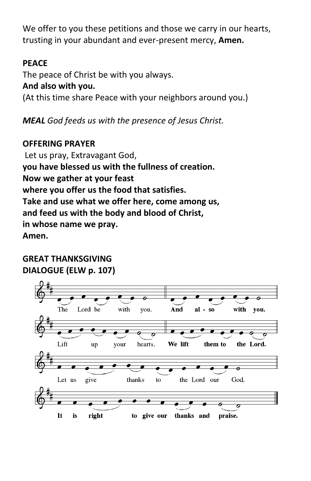We offer to you these petitions and those we carry in our hearts, trusting in your abundant and ever-present mercy, **Amen.**

# **PEACE**

The peace of Christ be with you always. **And also with you.** (At this time share Peace with your neighbors around you.)

*MEAL God feeds us with the presence of Jesus Christ.*

# **OFFERING PRAYER**

Let us pray, Extravagant God, **you have blessed us with the fullness of creation. Now we gather at your feast where you offer us the food that satisfies. Take and use what we offer here, come among us, and feed us with the body and blood of Christ, in whose name we pray. Amen.**

# **GREAT THANKSGIVING DIALOGUE (ELW p. 107)**

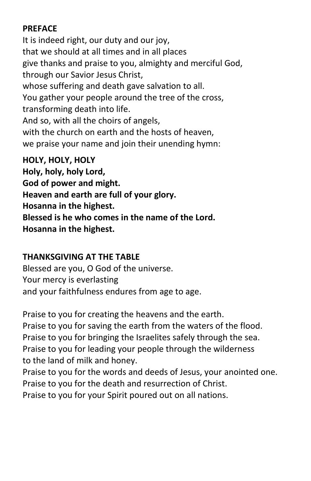## **PREFACE**

It is indeed right, our duty and our joy, that we should at all times and in all places give thanks and praise to you, almighty and merciful God, through our Savior Jesus Christ, whose suffering and death gave salvation to all. You gather your people around the tree of the cross, transforming death into life. And so, with all the choirs of angels, with the church on earth and the hosts of heaven, we praise your name and join their unending hymn: **HOLY, HOLY, HOLY**

**Holy, holy, holy Lord, God of power and might. Heaven and earth are full of your glory. Hosanna in the highest. Blessed is he who comes in the name of the Lord. Hosanna in the highest.**

#### **THANKSGIVING AT THE TABLE**

Blessed are you, O God of the universe. Your mercy is everlasting and your faithfulness endures from age to age.

Praise to you for creating the heavens and the earth. Praise to you for saving the earth from the waters of the flood. Praise to you for bringing the Israelites safely through the sea. Praise to you for leading your people through the wilderness to the land of milk and honey.

Praise to you for the words and deeds of Jesus, your anointed one. Praise to you for the death and resurrection of Christ. Praise to you for your Spirit poured out on all nations.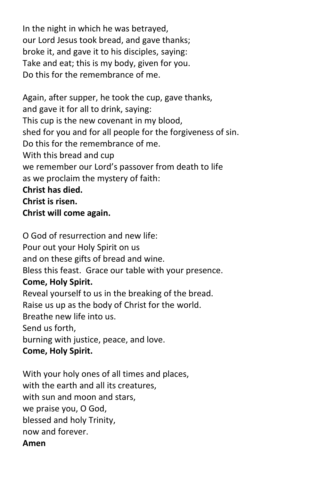In the night in which he was betrayed, our Lord Jesus took bread, and gave thanks; broke it, and gave it to his disciples, saying: Take and eat; this is my body, given for you. Do this for the remembrance of me.

Again, after supper, he took the cup, gave thanks, and gave it for all to drink, saying: This cup is the new covenant in my blood, shed for you and for all people for the forgiveness of sin. Do this for the remembrance of me. With this bread and cup we remember our Lord's passover from death to life as we proclaim the mystery of faith: **Christ has died. Christ is risen. Christ will come again.**

O God of resurrection and new life: Pour out your Holy Spirit on us and on these gifts of bread and wine. Bless this feast. Grace our table with your presence. **Come, Holy Spirit.** Reveal yourself to us in the breaking of the bread. Raise us up as the body of Christ for the world. Breathe new life into us. Send us forth, burning with justice, peace, and love. **Come, Holy Spirit.**

With your holy ones of all times and places, with the earth and all its creatures, with sun and moon and stars, we praise you, O God, blessed and holy Trinity, now and forever. **Amen**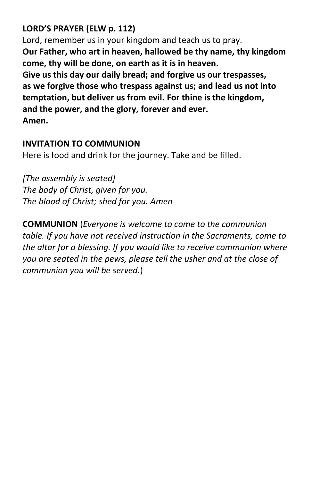# **LORD'S PRAYER (ELW p. 112)**

Lord, remember us in your kingdom and teach us to pray. **Our Father, who art in heaven, hallowed be thy name, thy kingdom come, thy will be done, on earth as it is in heaven. Give us this day our daily bread; and forgive us our trespasses, as we forgive those who trespass against us; and lead us not into temptation, but deliver us from evil. For thine is the kingdom, and the power, and the glory, forever and ever. Amen.**

#### **INVITATION TO COMMUNION**

Here is food and drink for the journey. Take and be filled.

*[The assembly is seated] The body of Christ, given for you. The blood of Christ; shed for you. Amen*

**COMMUNION** (*Everyone is welcome to come to the communion table. If you have not received instruction in the Sacraments, come to the altar for a blessing. If you would like to receive communion where you are seated in the pews, please tell the usher and at the close of communion you will be served.*)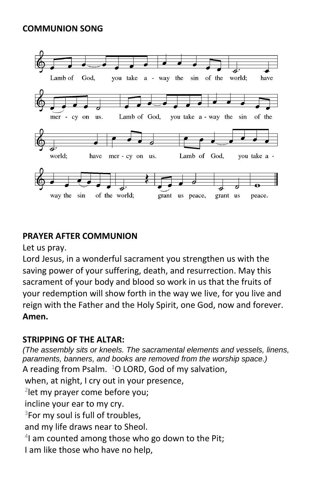#### **COMMUNION SONG**



#### **PRAYER AFTER COMMUNION**

Let us pray.

Lord Jesus, in a wonderful sacrament you strengthen us with the saving power of your suffering, death, and resurrection. May this sacrament of your body and blood so work in us that the fruits of your redemption will show forth in the way we live, for you live and reign with the Father and the Holy Spirit, one God, now and forever. **Amen.**

#### **STRIPPING OF THE ALTAR:**

*(The assembly sits or kneels. The sacramental elements and vessels, linens, paraments, banners, and books are removed from the worship space.)* A reading from Psalm.  $1$ O LORD, God of my salvation, when, at night, I cry out in your presence,

2 let my prayer come before you;

incline your ear to my cry.

<sup>3</sup>For my soul is full of troubles,

and my life draws near to Sheol.

4 I am counted among those who go down to the Pit;

I am like those who have no help,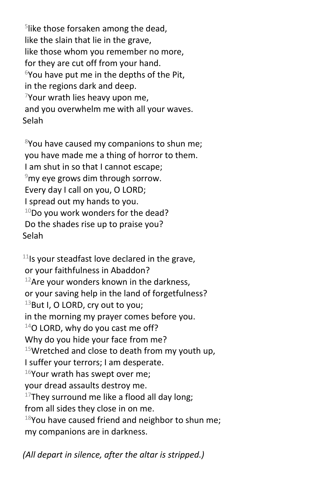5 like those forsaken among the dead, like the slain that lie in the grave, like those whom you remember no more, for they are cut off from your hand.  $6$ You have put me in the depths of the Pit, in the regions dark and deep.  $7$ Your wrath lies heavy upon me, and you overwhelm me with all your waves. Selah

 $8$ You have caused my companions to shun me; you have made me a thing of horror to them. I am shut in so that I cannot escape;  $9$ my eye grows dim through sorrow. Every day I call on you, O LORD; I spread out my hands to you.  $10$ Do you work wonders for the dead? Do the shades rise up to praise you? Selah

 $11$ Is your steadfast love declared in the grave, or your faithfulness in Abaddon?  $12$ Are your wonders known in the darkness, or your saving help in the land of forgetfulness?  $13$ But I, O LORD, cry out to you; in the morning my prayer comes before you.  $14$ O LORD, why do you cast me off? Why do you hide your face from me?  $15$ Wretched and close to death from my youth up, I suffer your terrors; I am desperate.  $16$ Your wrath has swept over me; your dread assaults destroy me.  $17$ They surround me like a flood all day long; from all sides they close in on me.  $18$ You have caused friend and neighbor to shun me; my companions are in darkness.

*(All depart in silence, after the altar is stripped.)*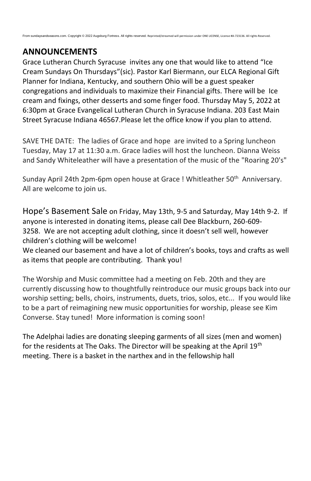#### **ANNOUNCEMENTS**

Grace Lutheran Church Syracuse invites any one that would like to attend "Ice Cream Sundays On Thursdays"(sic). Pastor Karl Biermann, our ELCA Regional Gift Planner for Indiana, Kentucky, and southern Ohio will be a guest speaker congregations and individuals to maximize their Financial gifts. There will be Ice cream and fixings, other desserts and some finger food. Thursday May 5, 2022 at 6:30pm at Grace Evangelical Lutheran Church in Syracuse Indiana. 203 East Main Street Syracuse Indiana 46567.Please let the office know if you plan to attend.

SAVE THE DATE: The ladies of Grace and hope are invited to a Spring luncheon Tuesday, May 17 at 11:30 a.m. Grace ladies will host the luncheon. Dianna Weiss and Sandy Whiteleather will have a presentation of the music of the "Roaring 20's"

Sunday April 24th 2pm-6pm open house at Grace ! Whitleather 50<sup>th</sup> Anniversary. All are welcome to join us.

Hope's Basement Sale on Friday, May 13th, 9-5 and Saturday, May 14th 9-2. If anyone is interested in donating items, please call Dee Blackburn, 260-609- 3258. We are not accepting adult clothing, since it doesn't sell well, however children's clothing will be welcome!

We cleaned our basement and have a lot of children's books, toys and crafts as well as items that people are contributing. Thank you!

The Worship and Music committee had a meeting on Feb. 20th and they are currently discussing how to thoughtfully reintroduce our music groups back into our worship setting; bells, choirs, instruments, duets, trios, solos, etc... If you would like to be a part of reimagining new music opportunities for worship, please see Kim Converse. Stay tuned! More information is coming soon!

The Adelphai ladies are donating sleeping garments of all sizes (men and women) for the residents at The Oaks. The Director will be speaking at the April 19<sup>th</sup> meeting. There is a basket in the narthex and in the fellowship hall